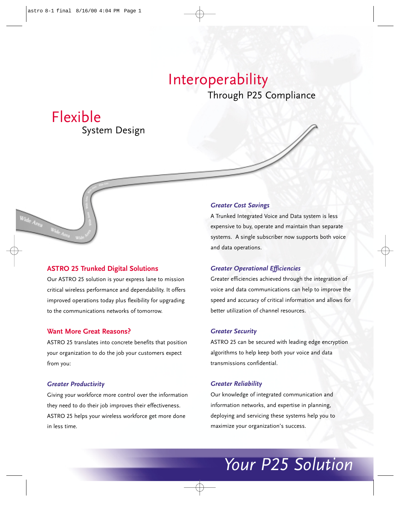### Through P25 Compliance Interoperability

## Flexible

System Design

#### **ASTRO 25 Trunked Digital Solutions**

Our ASTRO 25 solution is your express lane to mission critical wireless performance and dependability. It offers improved operations today plus flexibility for upgrading to the communications networks of tomorrow.

#### **Want More Great Reasons?**

ASTRO 25 translates into concrete benefits that position your organization to do the job your customers expect from you:

#### *Greater Productivity*

Giving your workforce more control over the information they need to do their job improves their effectiveness. ASTRO 25 helps your wireless workforce get more done in less time.

#### *Greater Cost Savings*

A Trunked Integrated Voice and Data system is less expensive to buy, operate and maintain than separate systems. A single subscriber now supports both voice and data operations.

#### *Greater Operational Efficiencies*

Greater efficiencies achieved through the integration of voice and data communications can help to improve the speed and accuracy of critical information and allows for better utilization of channel resources.

#### *Greater Security*

ASTRO 25 can be secured with leading edge encryption algorithms to help keep both your voice and data transmissions confidential.

#### *Greater Reliability*

Our knowledge of integrated communication and information networks, and expertise in planning, deploying and servicing these systems help you to maximize your organization's success.

## *Your P25 Solution*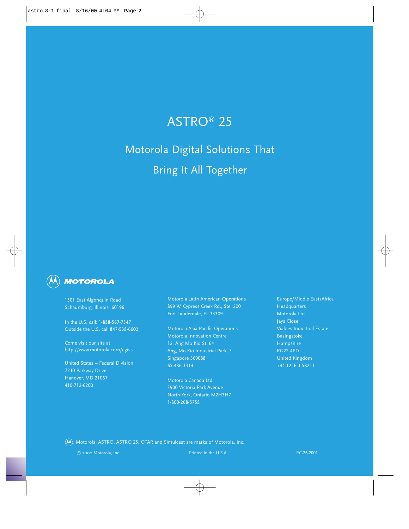### ASTRO® 25

Motorola Digital Solutions That Bring It All Together



1301 East Algonquin Road Schaumburg, Illinois 60196

In the U.S. call: 1-888-567-7347 Outside the U.S. call 847-538-6602

Come visit our site at http://www.motorola.com/cgiss

United States – Federal Division 7230 Parkway Drive Hanover, MD 21067 410-712-6200

Motorola Latin American Operations 899 W. Cypress Creek Rd., Ste. 200 Fort Lauderdale, FL 33309

Motorola Asia Pacific Operations Motorola Innovation Centre 12, Ang Mo Kio St. 64 Ang, Mo Kio Industrial Park, 3 Singapore 569088 65-486-3314

Motorola Canada Ltd. 3900 Victoria Park Avenue North York, Ontario M2H3H7 1-800-268-5758

Europe/Middle East/Africa **Headquarters** Motorola Ltd. Jays Close Viables Industrial Estate Basingstoke Hampshire RG22 4PD United Kingdom +44-1256-3-58211

 $\left(\overline{\mathsf{M}}\right)$ , Motorola, ASTRO, ASTRO 25, OTAR and Simulcast are marks of Motorola, Inc.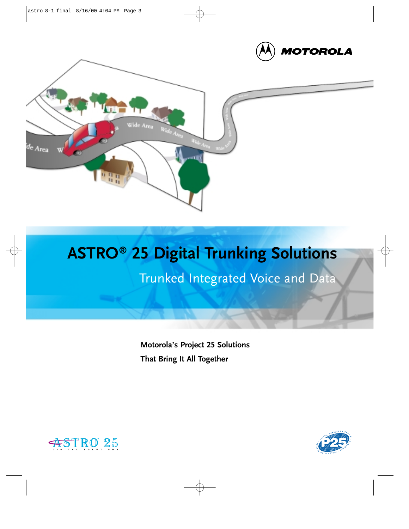



## **ASTRO® 25 Digital Trunking Solutions**

Trunked Integrated Voice and Data

**Motorola's Project 25 Solutions That Bring It All Together**



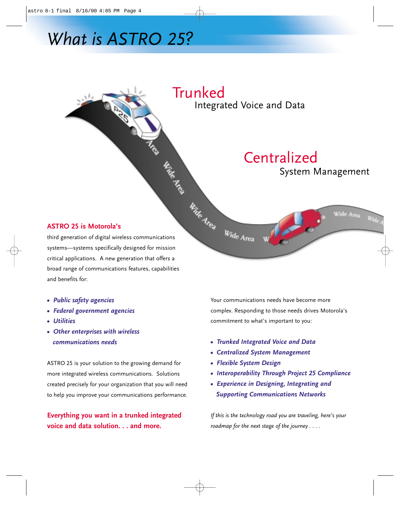## *What is ASTRO 25?*



**ASTRO 25 is Motorola's** 

systems—systems specifically designed for mission critical applications. A new generation that offers a broad range of communications features, capabilities and benefits for:

- *Public safety agencies*
- *Federal government agencies*
- *Utilities*
- *Other enterprises with wireless communications needs*

ASTRO 25 is your solution to the growing demand for more integrated wireless communications. Solutions created precisely for your organization that you will need to help you improve your communications performance.

#### **Everything you want in a trunked integrated voice and data solution. . . and more.**

Your communications needs have become more complex. Responding to those needs drives Motorola's commitment to what's important to you:

- *Trunked Integrated Voice and Data*
- *Centralized System Management*
- *Flexible System Design*
- *Interoperability Through Project 25 Compliance*
- *Experience in Designing, Integrating and Supporting Communications Networks*

*If this is the technology road you are traveling, here's your roadmap for the next stage of the journey . . . .*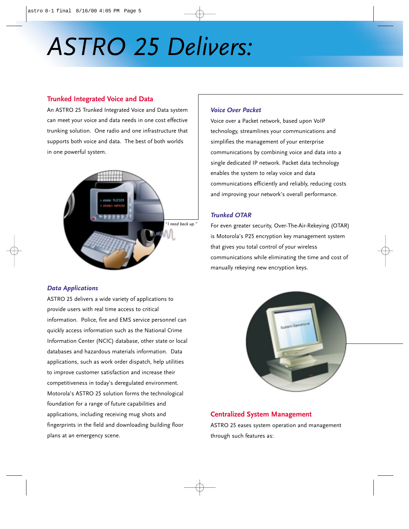# *ASTRO 25 Delivers:*

#### **Trunked Integrated Voice and Data**

An ASTRO 25 Trunked Integrated Voice and Data system can meet your voice and data needs in one cost effective trunking solution. One radio and one infrastructure that supports both voice and data. The best of both worlds in one powerful system.



#### *Data Applications*

ASTRO 25 delivers a wide variety of applications to provide users with real time access to critical information. Police, fire and EMS service personnel can quickly access information such as the National Crime Information Center (NCIC) database, other state or local databases and hazardous materials information. Data applications, such as work order dispatch, help utilities to improve customer satisfaction and increase their competitiveness in today's deregulated environment. Motorola's ASTRO 25 solution forms the technological foundation for a range of future capabilities and applications, including receiving mug shots and fingerprints in the field and downloading building floor plans at an emergency scene.

#### *Voice Over Packet*

Voice over a Packet network, based upon VoIP technology, streamlines your communications and simplifies the management of your enterprise communications by combining voice and data into a single dedicated IP network. Packet data technology enables the system to relay voice and data communications efficiently and reliably, reducing costs and improving your network's overall performance.

#### *Trunked OTAR*

For even greater security, Over-The-Air-Rekeying (OTAR) is Motorola's P25 encryption key management system that gives you total control of your wireless communications while eliminating the time and cost of manually rekeying new encryption keys.



#### **Centralized System Management**

ASTRO 25 eases system operation and management through such features as: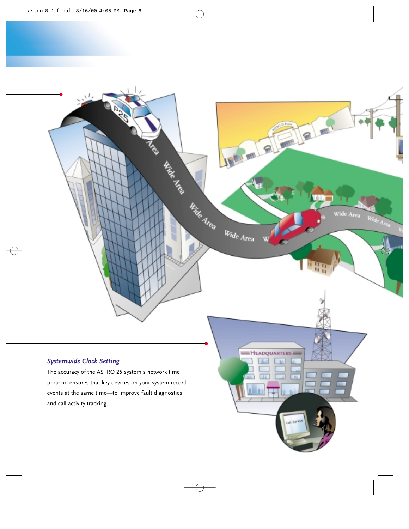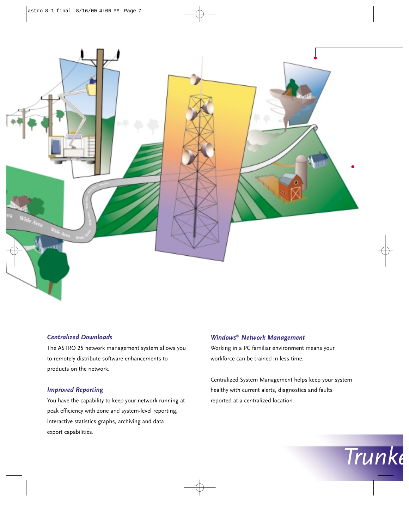

#### *Centralized Downloads*

The ASTRO 25 network management system allows you to remotely distribute software enhancements to products on the network.

#### *Improved Reporting*

You have the capability to keep your network running at peak efficiency with zone and system-level reporting, interactive statistics graphs, archiving and data export capabilities.

#### *Windows® Network Management*

Working in a PC familiar environment means your workforce can be trained in less time.

Centralized System Management helps keep your system healthy with current alerts, diagnostics and faults reported at a centralized location.

*Trunke*